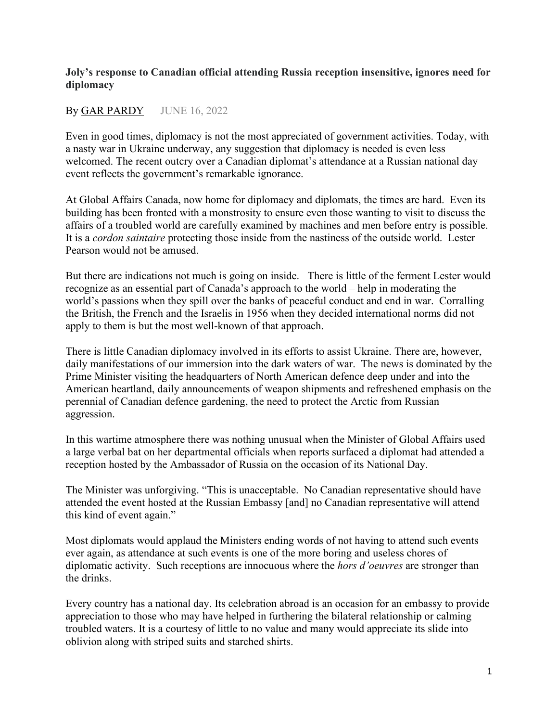## **Joly's response to Canadian official attending Russia reception insensitive, ignores need for diplomacy**

## By [GAR PARDY](https://www.hilltimes.com/author/gar-pardy) JUNE 16, 2022

Even in good times, diplomacy is not the most appreciated of government activities. Today, with a nasty war in Ukraine underway, any suggestion that diplomacy is needed is even less welcomed. The recent outcry over a Canadian diplomat's attendance at a Russian national day event reflects the government's remarkable ignorance.

At Global Affairs Canada, now home for diplomacy and diplomats, the times are hard. Even its building has been fronted with a monstrosity to ensure even those wanting to visit to discuss the affairs of a troubled world are carefully examined by machines and men before entry is possible. It is a *cordon saintaire* protecting those inside from the nastiness of the outside world. Lester Pearson would not be amused.

But there are indications not much is going on inside. There is little of the ferment Lester would recognize as an essential part of Canada's approach to the world – help in moderating the world's passions when they spill over the banks of peaceful conduct and end in war. Corralling the British, the French and the Israelis in 1956 when they decided international norms did not apply to them is but the most well-known of that approach.

There is little Canadian diplomacy involved in its efforts to assist Ukraine. There are, however, daily manifestations of our immersion into the dark waters of war. The news is dominated by the Prime Minister visiting the headquarters of North American defence deep under and into the American heartland, daily announcements of weapon shipments and refreshened emphasis on the perennial of Canadian defence gardening, the need to protect the Arctic from Russian aggression.

In this wartime atmosphere there was nothing unusual when the Minister of Global Affairs used a large verbal bat on her departmental officials when reports surfaced a diplomat had attended a reception hosted by the Ambassador of Russia on the occasion of its National Day.

The Minister was unforgiving. "This is unacceptable. No Canadian representative should have attended the event hosted at the Russian Embassy [and] no Canadian representative will attend this kind of event again."

Most diplomats would applaud the Ministers ending words of not having to attend such events ever again, as attendance at such events is one of the more boring and useless chores of diplomatic activity. Such receptions are innocuous where the *hors d'oeuvres* are stronger than the drinks.

Every country has a national day. Its celebration abroad is an occasion for an embassy to provide appreciation to those who may have helped in furthering the bilateral relationship or calming troubled waters. It is a courtesy of little to no value and many would appreciate its slide into oblivion along with striped suits and starched shirts.